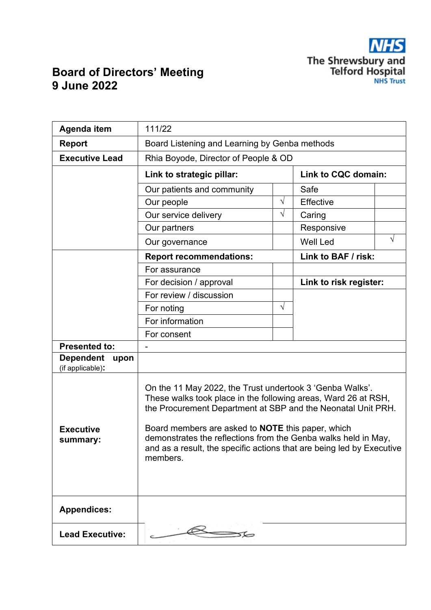

## **Board of Directors' Meeting 9 June 2022**

| Agenda item                                  | 111/22                                                                                                                                                                                                                                                                                                                                                                                                        |                     |                        |   |  |
|----------------------------------------------|---------------------------------------------------------------------------------------------------------------------------------------------------------------------------------------------------------------------------------------------------------------------------------------------------------------------------------------------------------------------------------------------------------------|---------------------|------------------------|---|--|
| <b>Report</b>                                | Board Listening and Learning by Genba methods                                                                                                                                                                                                                                                                                                                                                                 |                     |                        |   |  |
| <b>Executive Lead</b>                        | Rhia Boyode, Director of People & OD                                                                                                                                                                                                                                                                                                                                                                          |                     |                        |   |  |
|                                              | Link to strategic pillar:                                                                                                                                                                                                                                                                                                                                                                                     | Link to CQC domain: |                        |   |  |
|                                              | Our patients and community                                                                                                                                                                                                                                                                                                                                                                                    |                     | Safe                   |   |  |
|                                              | Our people                                                                                                                                                                                                                                                                                                                                                                                                    | $\sqrt{}$           | Effective              |   |  |
|                                              | Our service delivery                                                                                                                                                                                                                                                                                                                                                                                          | $\sqrt{}$           | Caring                 |   |  |
|                                              | Our partners                                                                                                                                                                                                                                                                                                                                                                                                  |                     | Responsive             |   |  |
|                                              | Our governance                                                                                                                                                                                                                                                                                                                                                                                                |                     | <b>Well Led</b>        | V |  |
|                                              | <b>Report recommendations:</b>                                                                                                                                                                                                                                                                                                                                                                                |                     | Link to BAF / risk:    |   |  |
|                                              | For assurance                                                                                                                                                                                                                                                                                                                                                                                                 |                     |                        |   |  |
|                                              | For decision / approval                                                                                                                                                                                                                                                                                                                                                                                       |                     | Link to risk register: |   |  |
|                                              | For review / discussion                                                                                                                                                                                                                                                                                                                                                                                       |                     |                        |   |  |
|                                              | For noting                                                                                                                                                                                                                                                                                                                                                                                                    | $\sqrt{ }$          |                        |   |  |
|                                              | For information                                                                                                                                                                                                                                                                                                                                                                                               |                     |                        |   |  |
|                                              | For consent                                                                                                                                                                                                                                                                                                                                                                                                   |                     |                        |   |  |
| <b>Presented to:</b>                         |                                                                                                                                                                                                                                                                                                                                                                                                               |                     |                        |   |  |
| <b>Dependent</b><br>upon<br>(if applicable): |                                                                                                                                                                                                                                                                                                                                                                                                               |                     |                        |   |  |
| <b>Executive</b><br>summary:                 | On the 11 May 2022, the Trust undertook 3 'Genba Walks'.<br>These walks took place in the following areas, Ward 26 at RSH,<br>the Procurement Department at SBP and the Neonatal Unit PRH.<br>Board members are asked to <b>NOTE</b> this paper, which<br>demonstrates the reflections from the Genba walks held in May,<br>and as a result, the specific actions that are being led by Executive<br>members. |                     |                        |   |  |
| <b>Appendices:</b>                           |                                                                                                                                                                                                                                                                                                                                                                                                               |                     |                        |   |  |
| <b>Lead Executive:</b>                       |                                                                                                                                                                                                                                                                                                                                                                                                               |                     |                        |   |  |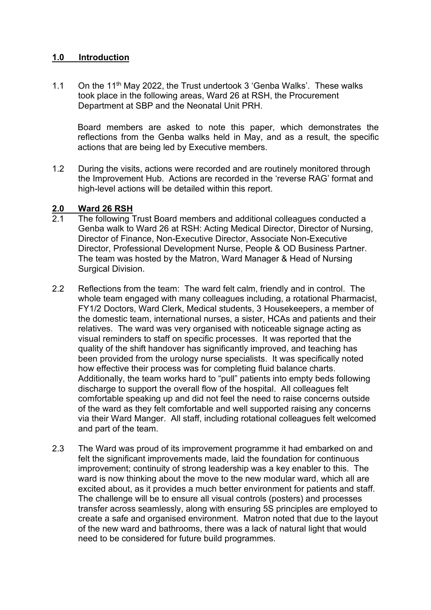### **1.0 Introduction**

1.1 On the 11th May 2022, the Trust undertook 3 'Genba Walks'. These walks took place in the following areas, Ward 26 at RSH, the Procurement Department at SBP and the Neonatal Unit PRH.

Board members are asked to note this paper, which demonstrates the reflections from the Genba walks held in May, and as a result, the specific actions that are being led by Executive members.

1.2 During the visits, actions were recorded and are routinely monitored through the Improvement Hub. Actions are recorded in the 'reverse RAG' format and high-level actions will be detailed within this report.

# **2.0 Ward 26 RSH**

- 2.1 The following Trust Board members and additional colleagues conducted a Genba walk to Ward 26 at RSH: Acting Medical Director, Director of Nursing, Director of Finance, Non-Executive Director, Associate Non-Executive Director, Professional Development Nurse, People & OD Business Partner. The team was hosted by the Matron, Ward Manager & Head of Nursing Surgical Division.
- 2.2 Reflections from the team: The ward felt calm, friendly and in control. The whole team engaged with many colleagues including, a rotational Pharmacist, FY1/2 Doctors, Ward Clerk, Medical students, 3 Housekeepers, a member of the domestic team, international nurses, a sister, HCAs and patients and their relatives. The ward was very organised with noticeable signage acting as visual reminders to staff on specific processes. It was reported that the quality of the shift handover has significantly improved, and teaching has been provided from the urology nurse specialists. It was specifically noted how effective their process was for completing fluid balance charts. Additionally, the team works hard to "pull" patients into empty beds following discharge to support the overall flow of the hospital. All colleagues felt comfortable speaking up and did not feel the need to raise concerns outside of the ward as they felt comfortable and well supported raising any concerns via their Ward Manger. All staff, including rotational colleagues felt welcomed and part of the team.
- 2.3 The Ward was proud of its improvement programme it had embarked on and felt the significant improvements made, laid the foundation for continuous improvement; continuity of strong leadership was a key enabler to this. The ward is now thinking about the move to the new modular ward, which all are excited about, as it provides a much better environment for patients and staff. The challenge will be to ensure all visual controls (posters) and processes transfer across seamlessly, along with ensuring 5S principles are employed to create a safe and organised environment. Matron noted that due to the layout of the new ward and bathrooms, there was a lack of natural light that would need to be considered for future build programmes.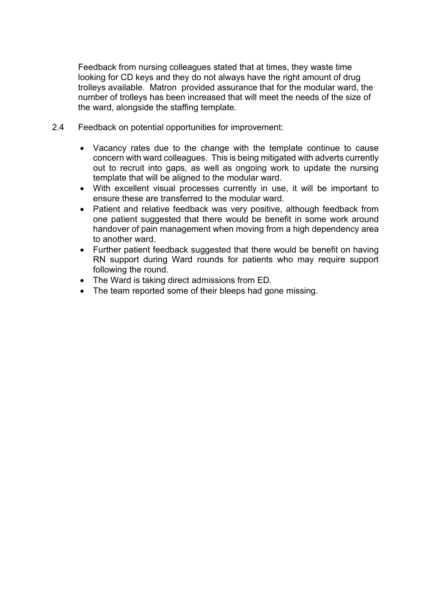Feedback from nursing colleagues stated that at times, they waste time looking for CD keys and they do not always have the right amount of drug trolleys available. Matron provided assurance that for the modular ward, the number of trolleys has been increased that will meet the needs of the size of the ward, alongside the staffing template.

- 2.4 Feedback on potential opportunities for improvement:
	- Vacancy rates due to the change with the template continue to cause concern with ward colleagues. This is being mitigated with adverts currently out to recruit into gaps, as well as ongoing work to update the nursing template that will be aligned to the modular ward.
	- With excellent visual processes currently in use, it will be important to ensure these are transferred to the modular ward.
	- Patient and relative feedback was very positive, although feedback from one patient suggested that there would be benefit in some work around handover of pain management when moving from a high dependency area to another ward.
	- Further patient feedback suggested that there would be benefit on having RN support during Ward rounds for patients who may require support following the round.
	- The Ward is taking direct admissions from ED.
	- The team reported some of their bleeps had gone missing.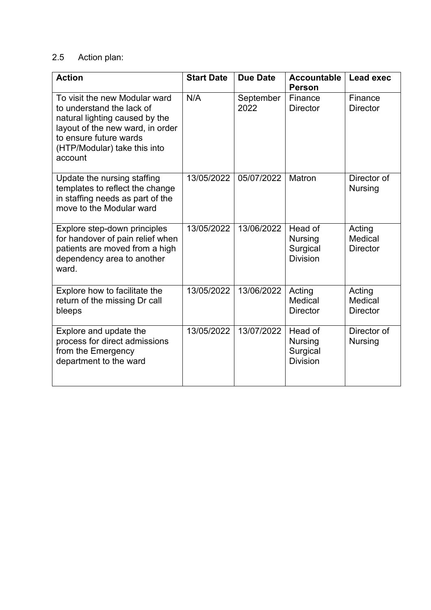### 2.5 Action plan:

| <b>Action</b>                                                                                                                                                                                         | <b>Start Date</b> | <b>Due Date</b>   | <b>Accountable</b><br><b>Person</b>                      | <b>Lead exec</b>                     |
|-------------------------------------------------------------------------------------------------------------------------------------------------------------------------------------------------------|-------------------|-------------------|----------------------------------------------------------|--------------------------------------|
| To visit the new Modular ward<br>to understand the lack of<br>natural lighting caused by the<br>layout of the new ward, in order<br>to ensure future wards<br>(HTP/Modular) take this into<br>account | N/A               | September<br>2022 | Finance<br><b>Director</b>                               | Finance<br><b>Director</b>           |
| Update the nursing staffing<br>templates to reflect the change<br>in staffing needs as part of the<br>move to the Modular ward                                                                        | 13/05/2022        | 05/07/2022        | Matron                                                   | Director of<br><b>Nursing</b>        |
| Explore step-down principles<br>for handover of pain relief when<br>patients are moved from a high<br>dependency area to another<br>ward.                                                             | 13/05/2022        | 13/06/2022        | Head of<br><b>Nursing</b><br>Surgical<br><b>Division</b> | Acting<br>Medical<br><b>Director</b> |
| Explore how to facilitate the<br>return of the missing Dr call<br>bleeps                                                                                                                              | 13/05/2022        | 13/06/2022        | Acting<br>Medical<br><b>Director</b>                     | Acting<br>Medical<br><b>Director</b> |
| Explore and update the<br>process for direct admissions<br>from the Emergency<br>department to the ward                                                                                               | 13/05/2022        | 13/07/2022        | Head of<br><b>Nursing</b><br>Surgical<br><b>Division</b> | Director of<br><b>Nursing</b>        |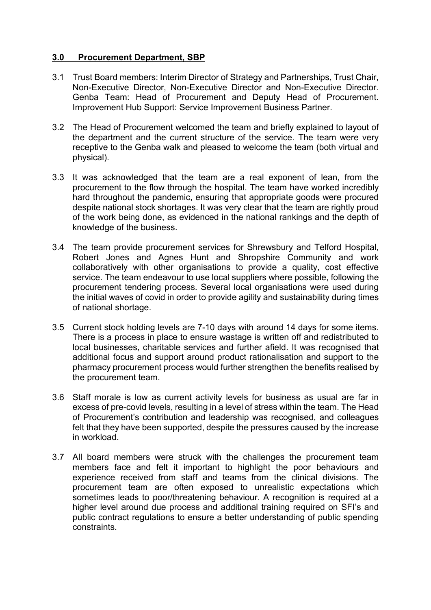### **3.0 Procurement Department, SBP**

- 3.1 Trust Board members: Interim Director of Strategy and Partnerships, Trust Chair, Non-Executive Director, Non-Executive Director and Non-Executive Director. Genba Team: Head of Procurement and Deputy Head of Procurement. Improvement Hub Support: Service Improvement Business Partner.
- 3.2 The Head of Procurement welcomed the team and briefly explained to layout of the department and the current structure of the service. The team were very receptive to the Genba walk and pleased to welcome the team (both virtual and physical).
- 3.3 It was acknowledged that the team are a real exponent of lean, from the procurement to the flow through the hospital. The team have worked incredibly hard throughout the pandemic, ensuring that appropriate goods were procured despite national stock shortages. It was very clear that the team are rightly proud of the work being done, as evidenced in the national rankings and the depth of knowledge of the business.
- 3.4 The team provide procurement services for Shrewsbury and Telford Hospital, Robert Jones and Agnes Hunt and Shropshire Community and work collaboratively with other organisations to provide a quality, cost effective service. The team endeavour to use local suppliers where possible, following the procurement tendering process. Several local organisations were used during the initial waves of covid in order to provide agility and sustainability during times of national shortage.
- 3.5 Current stock holding levels are 7-10 days with around 14 days for some items. There is a process in place to ensure wastage is written off and redistributed to local businesses, charitable services and further afield. It was recognised that additional focus and support around product rationalisation and support to the pharmacy procurement process would further strengthen the benefits realised by the procurement team.
- 3.6 Staff morale is low as current activity levels for business as usual are far in excess of pre-covid levels, resulting in a level of stress within the team. The Head of Procurement's contribution and leadership was recognised, and colleagues felt that they have been supported, despite the pressures caused by the increase in workload.
- 3.7 All board members were struck with the challenges the procurement team members face and felt it important to highlight the poor behaviours and experience received from staff and teams from the clinical divisions. The procurement team are often exposed to unrealistic expectations which sometimes leads to poor/threatening behaviour. A recognition is required at a higher level around due process and additional training required on SFI's and public contract regulations to ensure a better understanding of public spending constraints.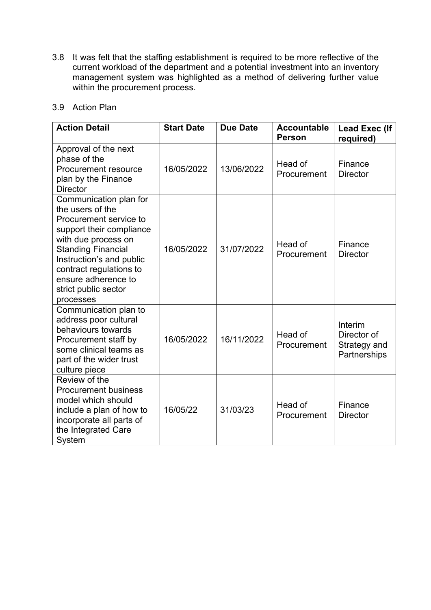3.8 It was felt that the staffing establishment is required to be more reflective of the current workload of the department and a potential investment into an inventory management system was highlighted as a method of delivering further value within the procurement process.

| 3.9 | Action Plan |  |
|-----|-------------|--|
|     |             |  |

| <b>Action Detail</b>                                                                                                                                                                                                                                                    | <b>Start Date</b> | <b>Due Date</b> | <b>Accountable</b><br><b>Person</b> | <b>Lead Exec (If</b><br>required)                      |
|-------------------------------------------------------------------------------------------------------------------------------------------------------------------------------------------------------------------------------------------------------------------------|-------------------|-----------------|-------------------------------------|--------------------------------------------------------|
| Approval of the next<br>phase of the<br>Procurement resource<br>plan by the Finance<br><b>Director</b>                                                                                                                                                                  | 16/05/2022        | 13/06/2022      | Head of<br>Procurement              | Finance<br><b>Director</b>                             |
| Communication plan for<br>the users of the<br>Procurement service to<br>support their compliance<br>with due process on<br><b>Standing Financial</b><br>Instruction's and public<br>contract regulations to<br>ensure adherence to<br>strict public sector<br>processes | 16/05/2022        | 31/07/2022      | Head of<br>Procurement              | Finance<br><b>Director</b>                             |
| Communication plan to<br>address poor cultural<br>behaviours towards<br>Procurement staff by<br>some clinical teams as<br>part of the wider trust<br>culture piece                                                                                                      | 16/05/2022        | 16/11/2022      | Head of<br>Procurement              | Interim<br>Director of<br>Strategy and<br>Partnerships |
| Review of the<br><b>Procurement business</b><br>model which should<br>include a plan of how to<br>incorporate all parts of<br>the Integrated Care<br>System                                                                                                             | 16/05/22          | 31/03/23        | Head of<br>Procurement              | Finance<br><b>Director</b>                             |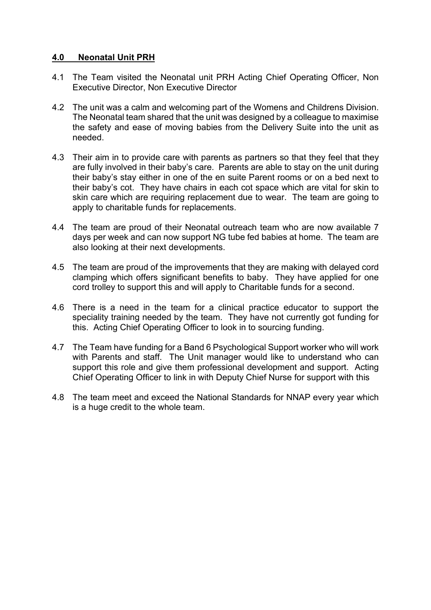### **4.0 Neonatal Unit PRH**

- 4.1 The Team visited the Neonatal unit PRH Acting Chief Operating Officer, Non Executive Director, Non Executive Director
- 4.2 The unit was a calm and welcoming part of the Womens and Childrens Division. The Neonatal team shared that the unit was designed by a colleague to maximise the safety and ease of moving babies from the Delivery Suite into the unit as needed.
- 4.3 Their aim in to provide care with parents as partners so that they feel that they are fully involved in their baby's care. Parents are able to stay on the unit during their baby's stay either in one of the en suite Parent rooms or on a bed next to their baby's cot. They have chairs in each cot space which are vital for skin to skin care which are requiring replacement due to wear. The team are going to apply to charitable funds for replacements.
- 4.4 The team are proud of their Neonatal outreach team who are now available 7 days per week and can now support NG tube fed babies at home. The team are also looking at their next developments.
- 4.5 The team are proud of the improvements that they are making with delayed cord clamping which offers significant benefits to baby. They have applied for one cord trolley to support this and will apply to Charitable funds for a second.
- 4.6 There is a need in the team for a clinical practice educator to support the speciality training needed by the team. They have not currently got funding for this. Acting Chief Operating Officer to look in to sourcing funding.
- 4.7 The Team have funding for a Band 6 Psychological Support worker who will work with Parents and staff. The Unit manager would like to understand who can support this role and give them professional development and support. Acting Chief Operating Officer to link in with Deputy Chief Nurse for support with this
- 4.8 The team meet and exceed the National Standards for NNAP every year which is a huge credit to the whole team.